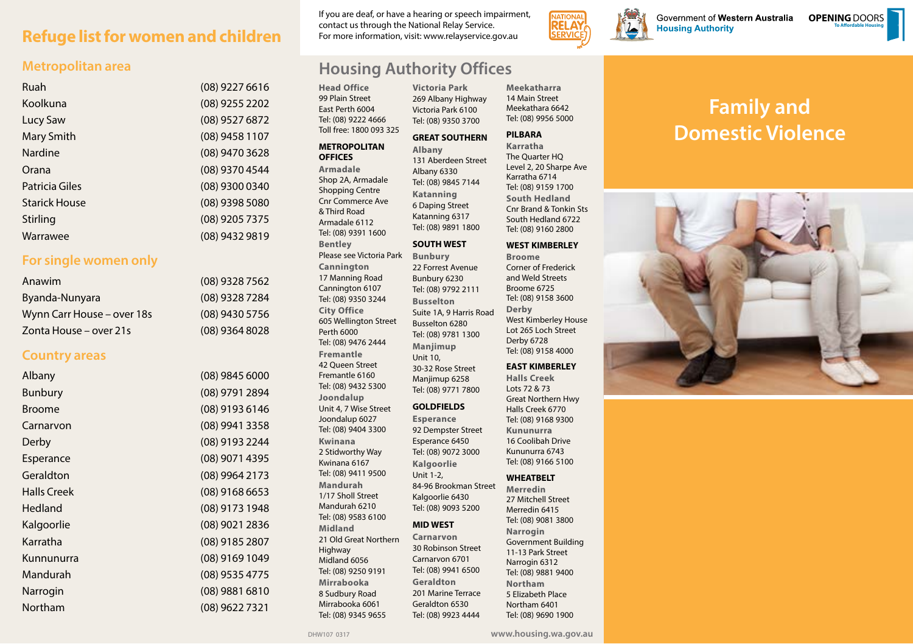## **Refuge list for women and children**

### **Metropolitan area**

| Ruah                 | (08) 9227 6616 |
|----------------------|----------------|
| Koolkuna             | (08) 9255 2202 |
| Lucy Saw             | (08) 9527 6872 |
| <b>Mary Smith</b>    | (08) 9458 1107 |
| Nardine              | (08) 9470 3628 |
| Orana                | (08) 9370 4544 |
| Patricia Giles       | (08) 9300 0340 |
| <b>Starick House</b> | (08) 9398 5080 |
| Stirling             | (08) 9205 7375 |
| Warrawee             | (08) 9432 9819 |

### **For single women only**

| Anawim                     | $(08)$ 9328 7562 |
|----------------------------|------------------|
| Byanda-Nunyara             | (08) 9328 7284   |
| Wynn Carr House – over 18s | $(08)$ 9430 5756 |
| Zonta House – over 21s     | $(08)$ 9364 8028 |

### **Country areas**

| Albany             | (08) 9845 6000   |
|--------------------|------------------|
| <b>Bunbury</b>     | (08) 9791 2894   |
| <b>Broome</b>      | (08) 9193 6146   |
| Carnarvon          | (08) 9941 3358   |
| Derby              | (08) 9193 2244   |
| Esperance          | (08) 9071 4395   |
| Geraldton          | (08) 9964 2173   |
| <b>Halls Creek</b> | $(08)$ 9168 6653 |
| <b>Hedland</b>     | (08) 9173 1948   |
| Kalgoorlie         | (08) 9021 2836   |
| Karratha           | (08) 9185 2807   |
| Kunnunurra         | (08) 9169 1049   |
| Mandurah           | (08) 9535 4775   |
| Narrogin           | (08) 9881 6810   |
| Northam            | (08) 9622 7321   |

If you are deaf, or have a hearing or speech impairment, contact us through the National Relay Service. For more information, visit: www.relayservice.gov.au

> **Victoria Park** 269 Albany Highway Victoria Park 6100 Tel: (08) 9350 3700

## **Housing Authority Offices**

**Head Office** 99 Plain Street East Perth 6004 Tel: (08) 9222 4666 Toll free: 1800 093 325

### **METROPOLITAN**

**OFFICES Armadale**

& Third Road Armadale 6112

**Bentley**

**Cannington**  17 Manning Road Cannington 6107 Tel: (08) 9350 3244 **City Office** 605 Wellington Street

Perth 6000 Tel: (08) 9476 2444 **Fremantle** 42 Queen Street Fremantle 6160 Tel: (08) 9432 5300 **Joondalup** Unit 4, 7 Wise Street Joondalup 6027 Tel: (08) 9404 3300 **Kwinana** 2 Stidworthy Way Kwinana 6167 Tel: (08) 9411 9500 **Mandurah** 1/17 Sholl Street Mandurah 6210 Tel: (08) 9583 6100 **Midland**

21 Old Great Northern

Highway Midland 6056 Tel: (08) 9250 9191 **Mirrabooka**  8 Sudbury Road Mirrabooka 6061 Tel: (08) 9345 9655

Shop 2A, Armadale Shopping Centre Cnr Commerce Ave Tel: (08) 9391 1600 Please see Victoria Park **Albany** 131 Aberdeen Street Albany 6330 Tel: (08) 9845 7144 **Katanning** 6 Daping Street Katanning 6317 Tel: (08) 9891 1800 **SOUTH WEST**

**Bunbury** 22 Forrest Avenue Bunbury 6230 Tel: (08) 9792 2111 **Busselton** Suite 1A, 9 Harris Road Busselton 6280 Tel: (08) 9781 1300 **Manjimup** Unit 10, 30-32 Rose Street Manjimup 6258 Tel: (08) 9771 7800

### **GOLDFIELDS**

**Esperance** 92 Dempster Street Esperance 6450 Tel: (08) 9072 3000 **Kalgoorlie** Unit 1-2, 84-96 Brookman Street

Kalgoorlie 6430 Tel: (08) 9093 5200

### **MID WEST**

**Carnarvon** 30 Robinson Street Carnarvon 6701 Tel: (08) 9941 6500 **Geraldton** 201 Marine Terrace Geraldton 6530 Tel: (08) 9923 4444

**Meekatharra** 14 Main Street Meekathara 6642 Tel: (08) 9956 5000

**SERVIC** 

#### **GREAT SOUTHERN PILBARA**

**Karratha** The Quarter HQ Level 2, 20 Sharpe Ave Karratha 6714 Tel: (08) 9159 1700 **South Hedland**  Cnr Brand & Tonkin Sts South Hedland 6722 Tel: (08) 9160 2800

#### **WEST KIMBERLEY**

**Broome** Corner of Frederick and Weld Streets Broome 6725 Tel: (08) 9158 3600 **Derby** West Kimberley House Lot 265 Loch Street Derby 6728 Tel: (08) 9158 4000

### **EAST KIMBERLEY**

**Halls Creek** Lots 72 & 73 Great Northern Hwy Halls Creek 6770 Tel: (08) 9168 9300 **Kununurra** 16 Coolibah Drive Kununurra 6743 Tel: (08) 9166 5100

### **WHEATBELT**

**Merredin** 27 Mitchell Street Merredin 6415 Tel: (08) 9081 3800 **Narrogin** Government Building 11-13 Park Street Narrogin 6312 Tel: (08) 9881 9400 **Northam** 5 Elizabeth Place Northam 6401 Tel: (08) 9690 1900

# **Family and Domestic Violence**

Government of Western Australia

**Housing Authority** 

**To Affordable Housing OPENING** DOORS



DHW107 0317 **www.housing.wa.gov.au**